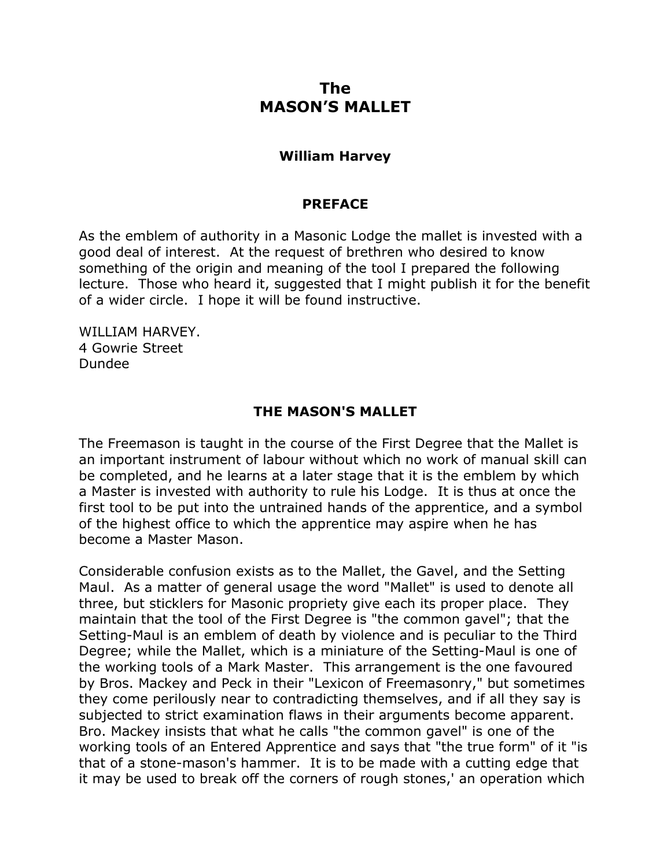## **The MASON'S MALLET**

## **William Harvey**

## **PREFACE**

As the emblem of authority in a Masonic Lodge the mallet is invested with a good deal of interest. At the request of brethren who desired to know something of the origin and meaning of the tool I prepared the following lecture. Those who heard it, suggested that I might publish it for the benefit of a wider circle. I hope it will be found instructive.

WILLIAM HARVEY. 4 Gowrie Street Dundee

## **THE MASON'S MALLET**

The Freemason is taught in the course of the First Degree that the Mallet is an important instrument of labour without which no work of manual skill can be completed, and he learns at a later stage that it is the emblem by which a Master is invested with authority to rule his Lodge. It is thus at once the first tool to be put into the untrained hands of the apprentice, and a symbol of the highest office to which the apprentice may aspire when he has become a Master Mason.

Considerable confusion exists as to the Mallet, the Gavel, and the Setting Maul. As a matter of general usage the word "Mallet" is used to denote all three, but sticklers for Masonic propriety give each its proper place. They maintain that the tool of the First Degree is "the common gavel"; that the Setting-Maul is an emblem of death by violence and is peculiar to the Third Degree; while the Mallet, which is a miniature of the Setting-Maul is one of the working tools of a Mark Master. This arrangement is the one favoured by Bros. Mackey and Peck in their "Lexicon of Freemasonry," but sometimes they come perilously near to contradicting themselves, and if all they say is subjected to strict examination flaws in their arguments become apparent. Bro. Mackey insists that what he calls "the common gavel" is one of the working tools of an Entered Apprentice and says that "the true form" of it "is that of a stone-mason's hammer. It is to be made with a cutting edge that it may be used to break off the corners of rough stones,' an operation which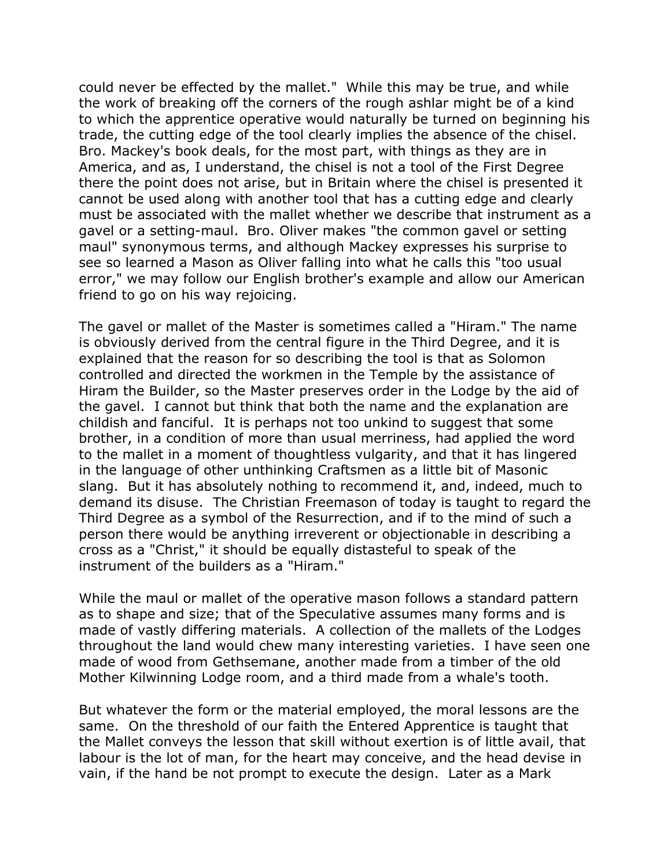could never be effected by the mallet." While this may be true, and while the work of breaking off the corners of the rough ashlar might be of a kind to which the apprentice operative would naturally be turned on beginning his trade, the cutting edge of the tool clearly implies the absence of the chisel. Bro. Mackey's book deals, for the most part, with things as they are in America, and as, I understand, the chisel is not a tool of the First Degree there the point does not arise, but in Britain where the chisel is presented it cannot be used along with another tool that has a cutting edge and clearly must be associated with the mallet whether we describe that instrument as a gavel or a setting-maul. Bro. Oliver makes "the common gavel or setting maul" synonymous terms, and although Mackey expresses his surprise to see so learned a Mason as Oliver falling into what he calls this "too usual error," we may follow our English brother's example and allow our American friend to go on his way rejoicing.

The gavel or mallet of the Master is sometimes called a "Hiram." The name is obviously derived from the central figure in the Third Degree, and it is explained that the reason for so describing the tool is that as Solomon controlled and directed the workmen in the Temple by the assistance of Hiram the Builder, so the Master preserves order in the Lodge by the aid of the gavel. I cannot but think that both the name and the explanation are childish and fanciful. It is perhaps not too unkind to suggest that some brother, in a condition of more than usual merriness, had applied the word to the mallet in a moment of thoughtless vulgarity, and that it has lingered in the language of other unthinking Craftsmen as a little bit of Masonic slang. But it has absolutely nothing to recommend it, and, indeed, much to demand its disuse. The Christian Freemason of today is taught to regard the Third Degree as a symbol of the Resurrection, and if to the mind of such a person there would be anything irreverent or objectionable in describing a cross as a "Christ," it should be equally distasteful to speak of the instrument of the builders as a "Hiram."

While the maul or mallet of the operative mason follows a standard pattern as to shape and size; that of the Speculative assumes many forms and is made of vastly differing materials. A collection of the mallets of the Lodges throughout the land would chew many interesting varieties. I have seen one made of wood from Gethsemane, another made from a timber of the old Mother Kilwinning Lodge room, and a third made from a whale's tooth.

But whatever the form or the material employed, the moral lessons are the same. On the threshold of our faith the Entered Apprentice is taught that the Mallet conveys the lesson that skill without exertion is of little avail, that labour is the lot of man, for the heart may conceive, and the head devise in vain, if the hand be not prompt to execute the design. Later as a Mark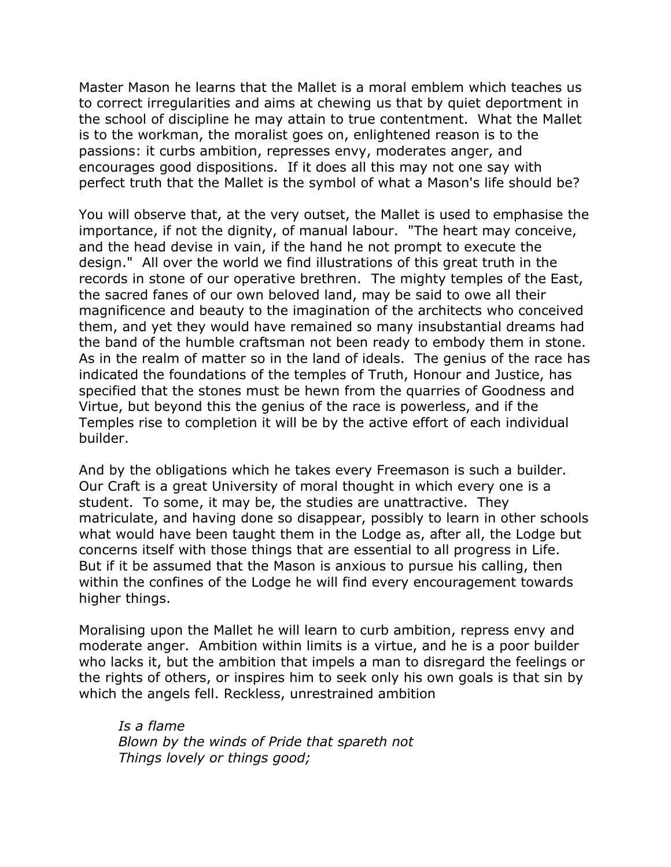Master Mason he learns that the Mallet is a moral emblem which teaches us to correct irregularities and aims at chewing us that by quiet deportment in the school of discipline he may attain to true contentment. What the Mallet is to the workman, the moralist goes on, enlightened reason is to the passions: it curbs ambition, represses envy, moderates anger, and encourages good dispositions. If it does all this may not one say with perfect truth that the Mallet is the symbol of what a Mason's life should be?

You will observe that, at the very outset, the Mallet is used to emphasise the importance, if not the dignity, of manual labour. "The heart may conceive, and the head devise in vain, if the hand he not prompt to execute the design." All over the world we find illustrations of this great truth in the records in stone of our operative brethren. The mighty temples of the East, the sacred fanes of our own beloved land, may be said to owe all their magnificence and beauty to the imagination of the architects who conceived them, and yet they would have remained so many insubstantial dreams had the band of the humble craftsman not been ready to embody them in stone. As in the realm of matter so in the land of ideals. The genius of the race has indicated the foundations of the temples of Truth, Honour and Justice, has specified that the stones must be hewn from the quarries of Goodness and Virtue, but beyond this the genius of the race is powerless, and if the Temples rise to completion it will be by the active effort of each individual builder.

And by the obligations which he takes every Freemason is such a builder. Our Craft is a great University of moral thought in which every one is a student. To some, it may be, the studies are unattractive. They matriculate, and having done so disappear, possibly to learn in other schools what would have been taught them in the Lodge as, after all, the Lodge but concerns itself with those things that are essential to all progress in Life. But if it be assumed that the Mason is anxious to pursue his calling, then within the confines of the Lodge he will find every encouragement towards higher things.

Moralising upon the Mallet he will learn to curb ambition, repress envy and moderate anger. Ambition within limits is a virtue, and he is a poor builder who lacks it, but the ambition that impels a man to disregard the feelings or the rights of others, or inspires him to seek only his own goals is that sin by which the angels fell. Reckless, unrestrained ambition

*Is a flame Blown by the winds of Pride that spareth not Things lovely or things good;*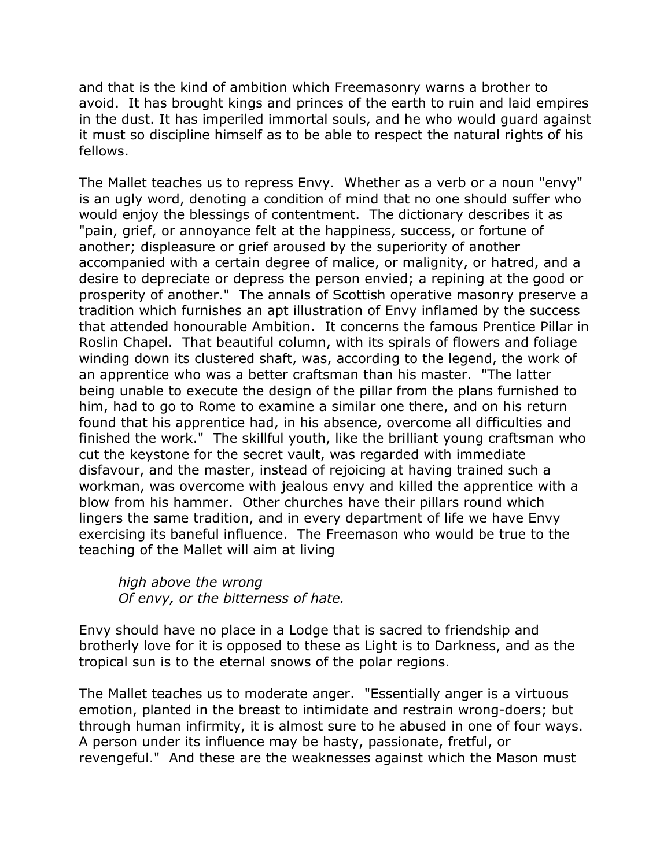and that is the kind of ambition which Freemasonry warns a brother to avoid. It has brought kings and princes of the earth to ruin and laid empires in the dust. It has imperiled immortal souls, and he who would guard against it must so discipline himself as to be able to respect the natural rights of his fellows.

The Mallet teaches us to repress Envy. Whether as a verb or a noun "envy" is an ugly word, denoting a condition of mind that no one should suffer who would enjoy the blessings of contentment. The dictionary describes it as "pain, grief, or annoyance felt at the happiness, success, or fortune of another; displeasure or grief aroused by the superiority of another accompanied with a certain degree of malice, or malignity, or hatred, and a desire to depreciate or depress the person envied; a repining at the good or prosperity of another." The annals of Scottish operative masonry preserve a tradition which furnishes an apt illustration of Envy inflamed by the success that attended honourable Ambition. It concerns the famous Prentice Pillar in Roslin Chapel. That beautiful column, with its spirals of flowers and foliage winding down its clustered shaft, was, according to the legend, the work of an apprentice who was a better craftsman than his master. "The latter being unable to execute the design of the pillar from the plans furnished to him, had to go to Rome to examine a similar one there, and on his return found that his apprentice had, in his absence, overcome all difficulties and finished the work." The skillful youth, like the brilliant young craftsman who cut the keystone for the secret vault, was regarded with immediate disfavour, and the master, instead of rejoicing at having trained such a workman, was overcome with jealous envy and killed the apprentice with a blow from his hammer. Other churches have their pillars round which lingers the same tradition, and in every department of life we have Envy exercising its baneful influence. The Freemason who would be true to the teaching of the Mallet will aim at living

*high above the wrong Of envy, or the bitterness of hate.*

Envy should have no place in a Lodge that is sacred to friendship and brotherly love for it is opposed to these as Light is to Darkness, and as the tropical sun is to the eternal snows of the polar regions.

The Mallet teaches us to moderate anger. "Essentially anger is a virtuous emotion, planted in the breast to intimidate and restrain wrong-doers; but through human infirmity, it is almost sure to he abused in one of four ways. A person under its influence may be hasty, passionate, fretful, or revengeful." And these are the weaknesses against which the Mason must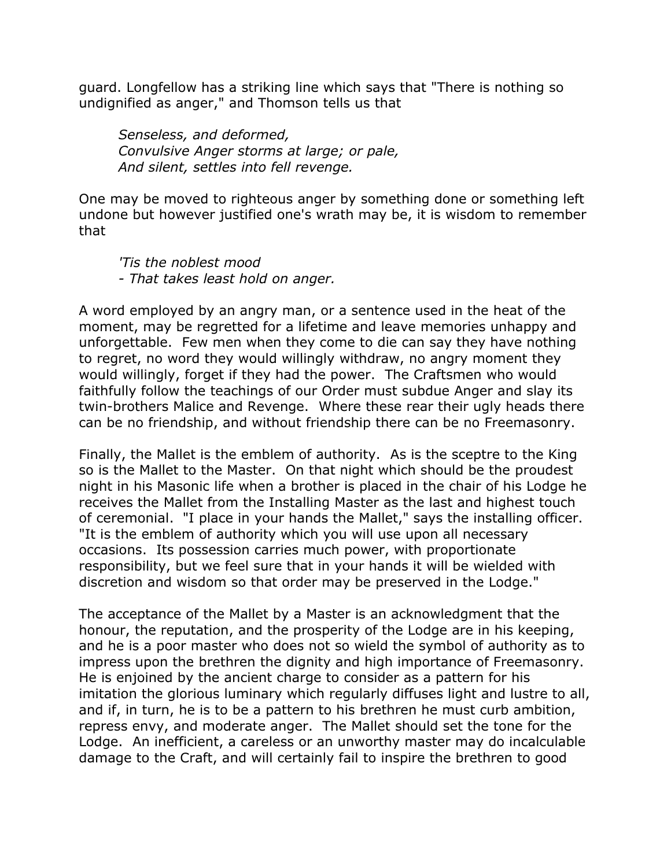guard. Longfellow has a striking line which says that "There is nothing so undignified as anger," and Thomson tells us that

*Senseless, and deformed, Convulsive Anger storms at large; or pale, And silent, settles into fell revenge.*

One may be moved to righteous anger by something done or something left undone but however justified one's wrath may be, it is wisdom to remember that

*'Tis the noblest mood - That takes least hold on anger.*

A word employed by an angry man, or a sentence used in the heat of the moment, may be regretted for a lifetime and leave memories unhappy and unforgettable. Few men when they come to die can say they have nothing to regret, no word they would willingly withdraw, no angry moment they would willingly, forget if they had the power. The Craftsmen who would faithfully follow the teachings of our Order must subdue Anger and slay its twin-brothers Malice and Revenge. Where these rear their ugly heads there can be no friendship, and without friendship there can be no Freemasonry.

Finally, the Mallet is the emblem of authority. As is the sceptre to the King so is the Mallet to the Master. On that night which should be the proudest night in his Masonic life when a brother is placed in the chair of his Lodge he receives the Mallet from the Installing Master as the last and highest touch of ceremonial. "I place in your hands the Mallet," says the installing officer. "It is the emblem of authority which you will use upon all necessary occasions. Its possession carries much power, with proportionate responsibility, but we feel sure that in your hands it will be wielded with discretion and wisdom so that order may be preserved in the Lodge."

The acceptance of the Mallet by a Master is an acknowledgment that the honour, the reputation, and the prosperity of the Lodge are in his keeping, and he is a poor master who does not so wield the symbol of authority as to impress upon the brethren the dignity and high importance of Freemasonry. He is enjoined by the ancient charge to consider as a pattern for his imitation the glorious luminary which regularly diffuses light and lustre to all, and if, in turn, he is to be a pattern to his brethren he must curb ambition, repress envy, and moderate anger. The Mallet should set the tone for the Lodge. An inefficient, a careless or an unworthy master may do incalculable damage to the Craft, and will certainly fail to inspire the brethren to good